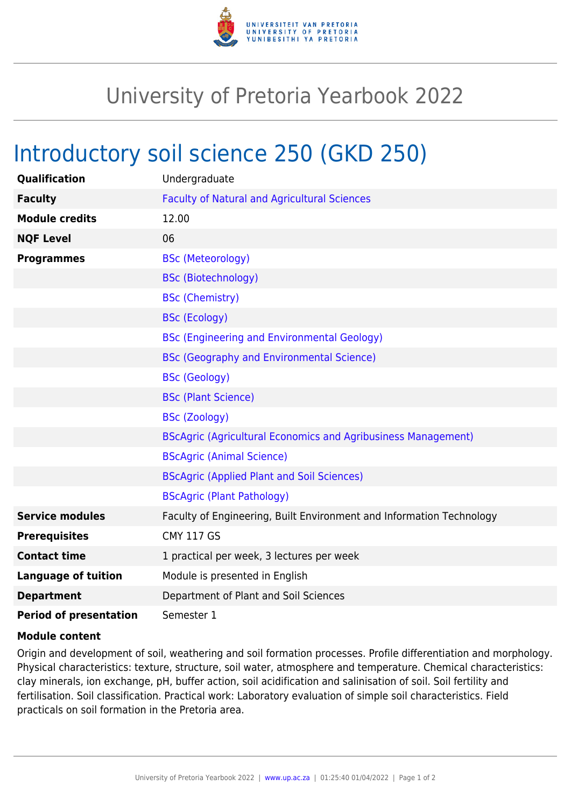

## University of Pretoria Yearbook 2022

## Introductory soil science 250 (GKD 250)

| <b>Qualification</b>          | Undergraduate                                                        |
|-------------------------------|----------------------------------------------------------------------|
| <b>Faculty</b>                | <b>Faculty of Natural and Agricultural Sciences</b>                  |
| <b>Module credits</b>         | 12.00                                                                |
| <b>NQF Level</b>              | 06                                                                   |
| <b>Programmes</b>             | <b>BSc (Meteorology)</b>                                             |
|                               | <b>BSc (Biotechnology)</b>                                           |
|                               | <b>BSc (Chemistry)</b>                                               |
|                               | <b>BSc (Ecology)</b>                                                 |
|                               | <b>BSc (Engineering and Environmental Geology)</b>                   |
|                               | <b>BSc (Geography and Environmental Science)</b>                     |
|                               | <b>BSc (Geology)</b>                                                 |
|                               | <b>BSc (Plant Science)</b>                                           |
|                               | <b>BSc (Zoology)</b>                                                 |
|                               | <b>BScAgric (Agricultural Economics and Agribusiness Management)</b> |
|                               | <b>BScAgric (Animal Science)</b>                                     |
|                               | <b>BScAgric (Applied Plant and Soil Sciences)</b>                    |
|                               | <b>BScAgric (Plant Pathology)</b>                                    |
| <b>Service modules</b>        | Faculty of Engineering, Built Environment and Information Technology |
| <b>Prerequisites</b>          | <b>CMY 117 GS</b>                                                    |
| <b>Contact time</b>           | 1 practical per week, 3 lectures per week                            |
| <b>Language of tuition</b>    | Module is presented in English                                       |
| <b>Department</b>             | Department of Plant and Soil Sciences                                |
| <b>Period of presentation</b> | Semester 1                                                           |

## **Module content**

Origin and development of soil, weathering and soil formation processes. Profile differentiation and morphology. Physical characteristics: texture, structure, soil water, atmosphere and temperature. Chemical characteristics: clay minerals, ion exchange, pH, buffer action, soil acidification and salinisation of soil. Soil fertility and fertilisation. Soil classification. Practical work: Laboratory evaluation of simple soil characteristics. Field practicals on soil formation in the Pretoria area.